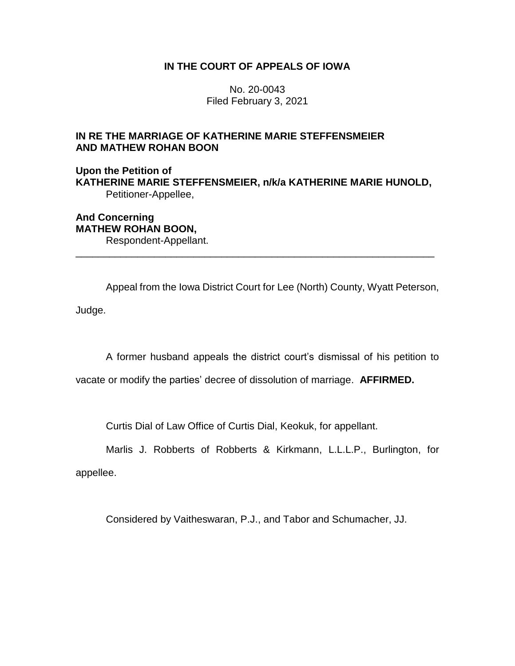## **IN THE COURT OF APPEALS OF IOWA**

No. 20-0043 Filed February 3, 2021

## **IN RE THE MARRIAGE OF KATHERINE MARIE STEFFENSMEIER AND MATHEW ROHAN BOON**

**Upon the Petition of KATHERINE MARIE STEFFENSMEIER, n/k/a KATHERINE MARIE HUNOLD,** Petitioner-Appellee,

\_\_\_\_\_\_\_\_\_\_\_\_\_\_\_\_\_\_\_\_\_\_\_\_\_\_\_\_\_\_\_\_\_\_\_\_\_\_\_\_\_\_\_\_\_\_\_\_\_\_\_\_\_\_\_\_\_\_\_\_\_\_\_\_

**And Concerning MATHEW ROHAN BOON,** Respondent-Appellant.

Appeal from the Iowa District Court for Lee (North) County, Wyatt Peterson,

Judge.

A former husband appeals the district court's dismissal of his petition to

vacate or modify the parties' decree of dissolution of marriage. **AFFIRMED.** 

Curtis Dial of Law Office of Curtis Dial, Keokuk, for appellant.

Marlis J. Robberts of Robberts & Kirkmann, L.L.L.P., Burlington, for appellee.

Considered by Vaitheswaran, P.J., and Tabor and Schumacher, JJ.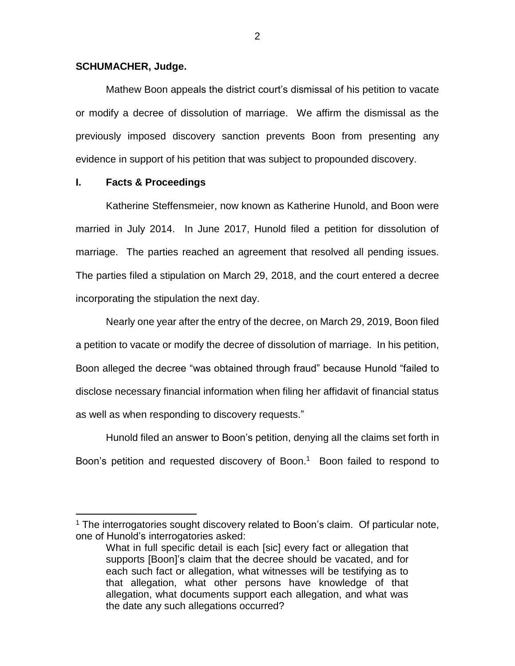#### **SCHUMACHER, Judge.**

Mathew Boon appeals the district court's dismissal of his petition to vacate or modify a decree of dissolution of marriage. We affirm the dismissal as the previously imposed discovery sanction prevents Boon from presenting any evidence in support of his petition that was subject to propounded discovery.

## **I. Facts & Proceedings**

 $\overline{a}$ 

Katherine Steffensmeier, now known as Katherine Hunold, and Boon were married in July 2014. In June 2017, Hunold filed a petition for dissolution of marriage. The parties reached an agreement that resolved all pending issues. The parties filed a stipulation on March 29, 2018, and the court entered a decree incorporating the stipulation the next day.

Nearly one year after the entry of the decree, on March 29, 2019, Boon filed a petition to vacate or modify the decree of dissolution of marriage. In his petition, Boon alleged the decree "was obtained through fraud" because Hunold "failed to disclose necessary financial information when filing her affidavit of financial status as well as when responding to discovery requests."

Hunold filed an answer to Boon's petition, denying all the claims set forth in Boon's petition and requested discovery of Boon. <sup>1</sup> Boon failed to respond to

 $1$  The interrogatories sought discovery related to Boon's claim. Of particular note, one of Hunold's interrogatories asked:

What in full specific detail is each [sic] every fact or allegation that supports [Boon]'s claim that the decree should be vacated, and for each such fact or allegation, what witnesses will be testifying as to that allegation, what other persons have knowledge of that allegation, what documents support each allegation, and what was the date any such allegations occurred?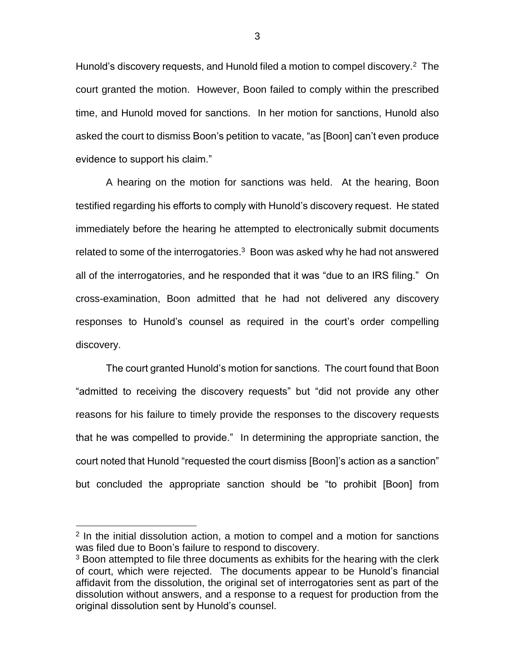Hunold's discovery requests, and Hunold filed a motion to compel discovery.<sup>2</sup> The court granted the motion. However, Boon failed to comply within the prescribed time, and Hunold moved for sanctions. In her motion for sanctions, Hunold also asked the court to dismiss Boon's petition to vacate, "as [Boon] can't even produce evidence to support his claim."

A hearing on the motion for sanctions was held. At the hearing, Boon testified regarding his efforts to comply with Hunold's discovery request. He stated immediately before the hearing he attempted to electronically submit documents related to some of the interrogatories. $3$  Boon was asked why he had not answered all of the interrogatories, and he responded that it was "due to an IRS filing." On cross-examination, Boon admitted that he had not delivered any discovery responses to Hunold's counsel as required in the court's order compelling discovery.

The court granted Hunold's motion for sanctions. The court found that Boon "admitted to receiving the discovery requests" but "did not provide any other reasons for his failure to timely provide the responses to the discovery requests that he was compelled to provide." In determining the appropriate sanction, the court noted that Hunold "requested the court dismiss [Boon]'s action as a sanction" but concluded the appropriate sanction should be "to prohibit [Boon] from

 $\overline{a}$ 

<sup>&</sup>lt;sup>2</sup> In the initial dissolution action, a motion to compel and a motion for sanctions was filed due to Boon's failure to respond to discovery.

<sup>&</sup>lt;sup>3</sup> Boon attempted to file three documents as exhibits for the hearing with the clerk of court, which were rejected. The documents appear to be Hunold's financial affidavit from the dissolution, the original set of interrogatories sent as part of the dissolution without answers, and a response to a request for production from the original dissolution sent by Hunold's counsel.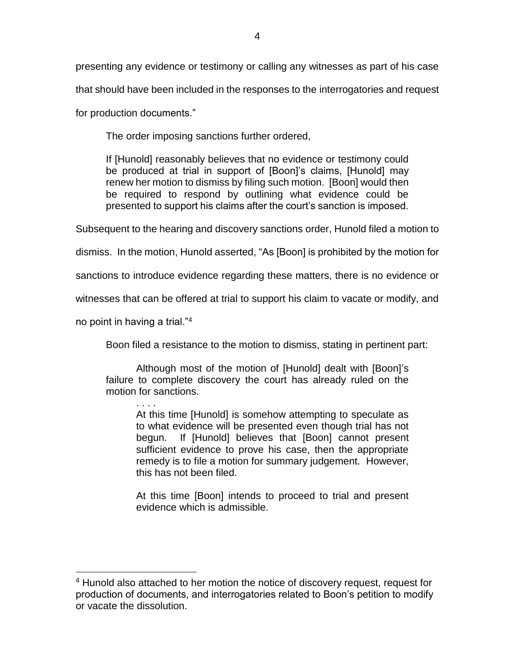presenting any evidence or testimony or calling any witnesses as part of his case that should have been included in the responses to the interrogatories and request

for production documents."

The order imposing sanctions further ordered,

If [Hunold] reasonably believes that no evidence or testimony could be produced at trial in support of [Boon]'s claims, [Hunold] may renew her motion to dismiss by filing such motion. [Boon] would then be required to respond by outlining what evidence could be presented to support his claims after the court's sanction is imposed.

Subsequent to the hearing and discovery sanctions order, Hunold filed a motion to

dismiss. In the motion, Hunold asserted, "As [Boon] is prohibited by the motion for

sanctions to introduce evidence regarding these matters, there is no evidence or

witnesses that can be offered at trial to support his claim to vacate or modify, and

no point in having a trial."<sup>4</sup>

 $\overline{a}$ 

Boon filed a resistance to the motion to dismiss, stating in pertinent part:

Although most of the motion of [Hunold] dealt with [Boon]'s failure to complete discovery the court has already ruled on the motion for sanctions.

. . . . At this time [Hunold] is somehow attempting to speculate as to what evidence will be presented even though trial has not begun. If [Hunold] believes that [Boon] cannot present sufficient evidence to prove his case, then the appropriate remedy is to file a motion for summary judgement. However, this has not been filed.

At this time [Boon] intends to proceed to trial and present evidence which is admissible.

<sup>&</sup>lt;sup>4</sup> Hunold also attached to her motion the notice of discovery request, request for production of documents, and interrogatories related to Boon's petition to modify or vacate the dissolution.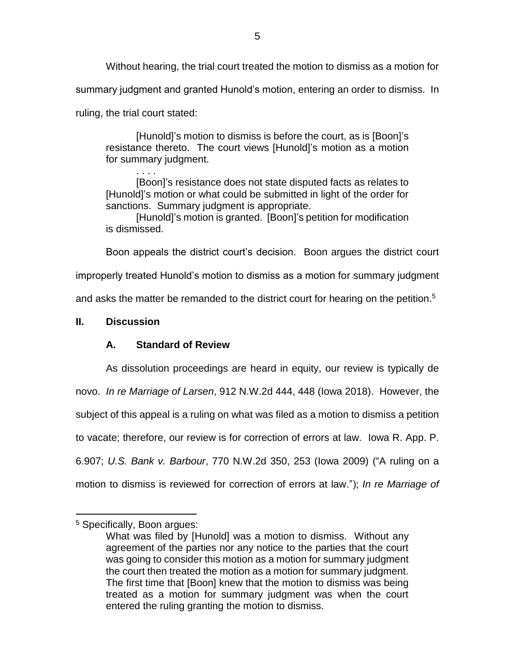Without hearing, the trial court treated the motion to dismiss as a motion for

summary judgment and granted Hunold's motion, entering an order to dismiss. In

ruling, the trial court stated:

. . . .

[Hunold]'s motion to dismiss is before the court, as is [Boon]'s resistance thereto. The court views [Hunold]'s motion as a motion for summary judgment.

[Boon]'s resistance does not state disputed facts as relates to [Hunold]'s motion or what could be submitted in light of the order for sanctions. Summary judgment is appropriate.

[Hunold]'s motion is granted. [Boon]'s petition for modification is dismissed.

Boon appeals the district court's decision. Boon argues the district court

improperly treated Hunold's motion to dismiss as a motion for summary judgment

and asks the matter be remanded to the district court for hearing on the petition.<sup>5</sup>

## **II. Discussion**

# **A. Standard of Review**

As dissolution proceedings are heard in equity, our review is typically de novo. *In re Marriage of Larsen*, 912 N.W.2d 444, 448 (Iowa 2018). However, the subject of this appeal is a ruling on what was filed as a motion to dismiss a petition to vacate; therefore, our review is for correction of errors at law. Iowa R. App. P. 6.907; *U.S. Bank v. Barbour*, 770 N.W.2d 350, 253 (Iowa 2009) ("A ruling on a motion to dismiss is reviewed for correction of errors at law."); *In re Marriage of* 

 $\overline{a}$ 

<sup>5</sup> Specifically, Boon argues:

What was filed by [Hunold] was a motion to dismiss. Without any agreement of the parties nor any notice to the parties that the court was going to consider this motion as a motion for summary judgment the court then treated the motion as a motion for summary judgment. The first time that [Boon] knew that the motion to dismiss was being treated as a motion for summary judgment was when the court entered the ruling granting the motion to dismiss.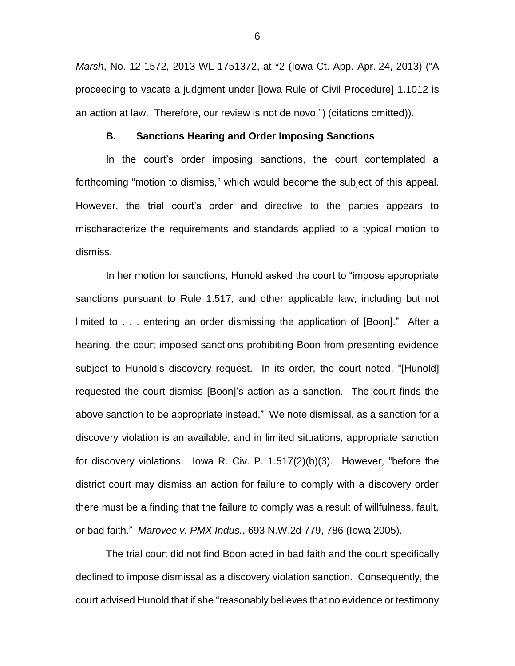*Marsh*, No. 12-1572, 2013 WL 1751372, at \*2 (Iowa Ct. App. Apr. 24, 2013) ("A proceeding to vacate a judgment under [Iowa Rule of Civil Procedure] 1.1012 is an action at law. Therefore, our review is not de novo.") (citations omitted)).

#### **B. Sanctions Hearing and Order Imposing Sanctions**

In the court's order imposing sanctions, the court contemplated a forthcoming "motion to dismiss," which would become the subject of this appeal. However, the trial court's order and directive to the parties appears to mischaracterize the requirements and standards applied to a typical motion to dismiss.

In her motion for sanctions, Hunold asked the court to "impose appropriate sanctions pursuant to Rule 1.517, and other applicable law, including but not limited to . . . entering an order dismissing the application of [Boon]." After a hearing, the court imposed sanctions prohibiting Boon from presenting evidence subject to Hunold's discovery request. In its order, the court noted, "[Hunold] requested the court dismiss [Boon]'s action as a sanction. The court finds the above sanction to be appropriate instead." We note dismissal, as a sanction for a discovery violation is an available, and in limited situations, appropriate sanction for discovery violations. Iowa R. Civ. P. 1.517(2)(b)(3). However, "before the district court may dismiss an action for failure to comply with a discovery order there must be a finding that the failure to comply was a result of willfulness, fault, or bad faith." *Marovec v. PMX Indus.*, 693 N.W.2d 779, 786 (Iowa 2005).

The trial court did not find Boon acted in bad faith and the court specifically declined to impose dismissal as a discovery violation sanction. Consequently, the court advised Hunold that if she "reasonably believes that no evidence or testimony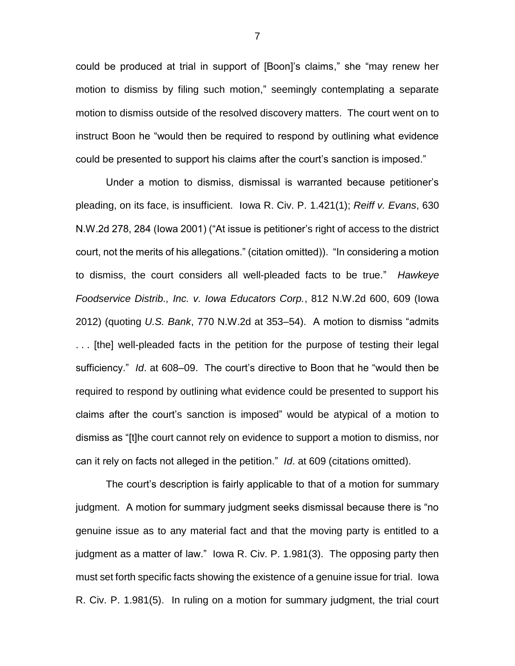could be produced at trial in support of [Boon]'s claims," she "may renew her motion to dismiss by filing such motion," seemingly contemplating a separate motion to dismiss outside of the resolved discovery matters. The court went on to instruct Boon he "would then be required to respond by outlining what evidence could be presented to support his claims after the court's sanction is imposed."

Under a motion to dismiss, dismissal is warranted because petitioner's pleading, on its face, is insufficient. Iowa R. Civ. P. 1.421(1); *Reiff v. Evans*, 630 N.W.2d 278, 284 (Iowa 2001) ("At issue is petitioner's right of access to the district court, not the merits of his allegations." (citation omitted)). "In considering a motion to dismiss, the court considers all well-pleaded facts to be true." *Hawkeye Foodservice Distrib., Inc. v. Iowa Educators Corp.*, 812 N.W.2d 600, 609 (Iowa 2012) (quoting *U.S. Bank*, 770 N.W.2d at 353–54). A motion to dismiss "admits . . . [the] well-pleaded facts in the petition for the purpose of testing their legal sufficiency." *Id*. at 608–09. The court's directive to Boon that he "would then be required to respond by outlining what evidence could be presented to support his claims after the court's sanction is imposed" would be atypical of a motion to dismiss as "[t]he court cannot rely on evidence to support a motion to dismiss, nor can it rely on facts not alleged in the petition." *Id*. at 609 (citations omitted).

The court's description is fairly applicable to that of a motion for summary judgment. A motion for summary judgment seeks dismissal because there is "no genuine issue as to any material fact and that the moving party is entitled to a judgment as a matter of law." Iowa R. Civ. P. 1.981(3). The opposing party then must set forth specific facts showing the existence of a genuine issue for trial. Iowa R. Civ. P. 1.981(5). In ruling on a motion for summary judgment, the trial court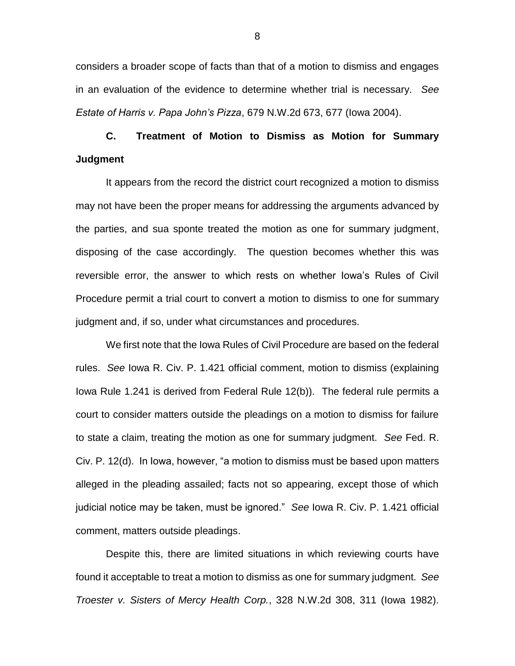considers a broader scope of facts than that of a motion to dismiss and engages in an evaluation of the evidence to determine whether trial is necessary. *See Estate of Harris v. Papa John's Pizza*, 679 N.W.2d 673, 677 (Iowa 2004).

# **C. Treatment of Motion to Dismiss as Motion for Summary Judgment**

It appears from the record the district court recognized a motion to dismiss may not have been the proper means for addressing the arguments advanced by the parties, and sua sponte treated the motion as one for summary judgment, disposing of the case accordingly. The question becomes whether this was reversible error, the answer to which rests on whether Iowa's Rules of Civil Procedure permit a trial court to convert a motion to dismiss to one for summary judgment and, if so, under what circumstances and procedures.

We first note that the Iowa Rules of Civil Procedure are based on the federal rules. *See* Iowa R. Civ. P. 1.421 official comment, motion to dismiss (explaining Iowa Rule 1.241 is derived from Federal Rule 12(b)). The federal rule permits a court to consider matters outside the pleadings on a motion to dismiss for failure to state a claim, treating the motion as one for summary judgment. *See* Fed. R. Civ. P. 12(d). In Iowa, however, "a motion to dismiss must be based upon matters alleged in the pleading assailed; facts not so appearing, except those of which judicial notice may be taken, must be ignored." *See* Iowa R. Civ. P. 1.421 official comment, matters outside pleadings.

Despite this, there are limited situations in which reviewing courts have found it acceptable to treat a motion to dismiss as one for summary judgment. *See Troester v. Sisters of Mercy Health Corp.*, 328 N.W.2d 308, 311 (Iowa 1982).

8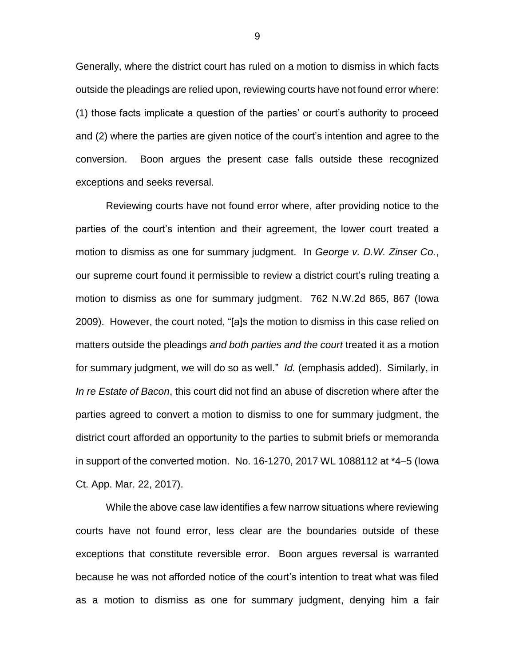Generally, where the district court has ruled on a motion to dismiss in which facts outside the pleadings are relied upon, reviewing courts have not found error where: (1) those facts implicate a question of the parties' or court's authority to proceed and (2) where the parties are given notice of the court's intention and agree to the conversion. Boon argues the present case falls outside these recognized exceptions and seeks reversal.

Reviewing courts have not found error where, after providing notice to the parties of the court's intention and their agreement, the lower court treated a motion to dismiss as one for summary judgment. In *George v. D.W. Zinser Co.*, our supreme court found it permissible to review a district court's ruling treating a motion to dismiss as one for summary judgment. 762 N.W.2d 865, 867 (Iowa 2009). However, the court noted, "[a]s the motion to dismiss in this case relied on matters outside the pleadings *and both parties and the court* treated it as a motion for summary judgment, we will do so as well." *Id.* (emphasis added). Similarly, in *In re Estate of Bacon*, this court did not find an abuse of discretion where after the parties agreed to convert a motion to dismiss to one for summary judgment, the district court afforded an opportunity to the parties to submit briefs or memoranda in support of the converted motion. No. 16-1270, 2017 WL 1088112 at \*4–5 (Iowa Ct. App. Mar. 22, 2017).

While the above case law identifies a few narrow situations where reviewing courts have not found error, less clear are the boundaries outside of these exceptions that constitute reversible error. Boon argues reversal is warranted because he was not afforded notice of the court's intention to treat what was filed as a motion to dismiss as one for summary judgment, denying him a fair

9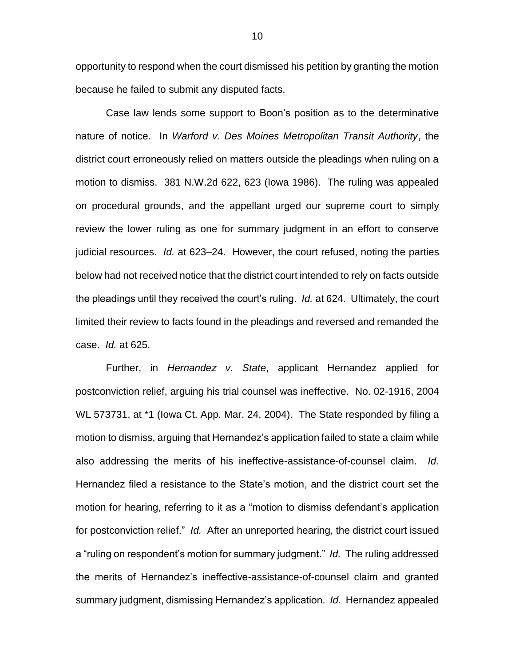opportunity to respond when the court dismissed his petition by granting the motion because he failed to submit any disputed facts.

Case law lends some support to Boon's position as to the determinative nature of notice. In *Warford v. Des Moines Metropolitan Transit Authority*, the district court erroneously relied on matters outside the pleadings when ruling on a motion to dismiss. 381 N.W.2d 622, 623 (Iowa 1986). The ruling was appealed on procedural grounds, and the appellant urged our supreme court to simply review the lower ruling as one for summary judgment in an effort to conserve judicial resources. *Id.* at 623–24. However, the court refused, noting the parties below had not received notice that the district court intended to rely on facts outside the pleadings until they received the court's ruling. *Id.* at 624. Ultimately, the court limited their review to facts found in the pleadings and reversed and remanded the case. *Id.* at 625.

Further, in *Hernandez v. State*, applicant Hernandez applied for postconviction relief, arguing his trial counsel was ineffective. No. 02-1916, 2004 WL 573731, at \*1 (Iowa Ct. App. Mar. 24, 2004). The State responded by filing a motion to dismiss, arguing that Hernandez's application failed to state a claim while also addressing the merits of his ineffective-assistance-of-counsel claim. *Id.* Hernandez filed a resistance to the State's motion, and the district court set the motion for hearing, referring to it as a "motion to dismiss defendant's application for postconviction relief." *Id.* After an unreported hearing, the district court issued a "ruling on respondent's motion for summary judgment." *Id.* The ruling addressed the merits of Hernandez's ineffective-assistance-of-counsel claim and granted summary judgment, dismissing Hernandez's application. *Id.* Hernandez appealed

10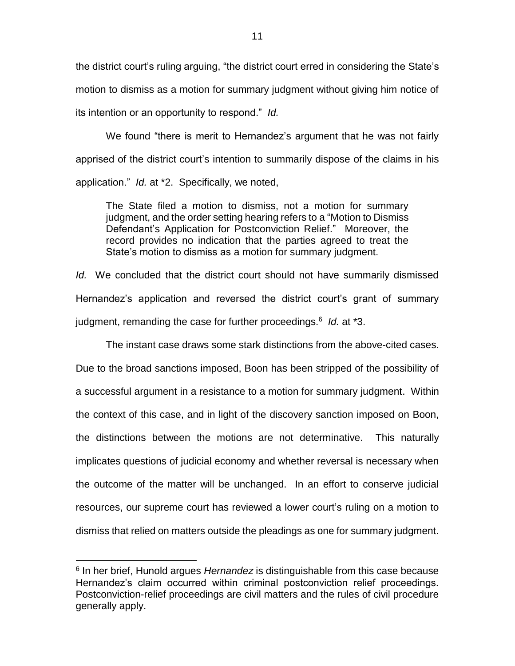the district court's ruling arguing, "the district court erred in considering the State's motion to dismiss as a motion for summary judgment without giving him notice of its intention or an opportunity to respond." *Id.*

We found "there is merit to Hernandez's argument that he was not fairly apprised of the district court's intention to summarily dispose of the claims in his application." *Id.* at \*2. Specifically, we noted,

The State filed a motion to dismiss, not a motion for summary judgment, and the order setting hearing refers to a "Motion to Dismiss Defendant's Application for Postconviction Relief." Moreover, the record provides no indication that the parties agreed to treat the State's motion to dismiss as a motion for summary judgment.

*Id.* We concluded that the district court should not have summarily dismissed Hernandez's application and reversed the district court's grant of summary judgment, remanding the case for further proceedings.<sup>6</sup> Id. at \*3.

The instant case draws some stark distinctions from the above-cited cases. Due to the broad sanctions imposed, Boon has been stripped of the possibility of a successful argument in a resistance to a motion for summary judgment. Within the context of this case, and in light of the discovery sanction imposed on Boon, the distinctions between the motions are not determinative. This naturally implicates questions of judicial economy and whether reversal is necessary when the outcome of the matter will be unchanged. In an effort to conserve judicial resources, our supreme court has reviewed a lower court's ruling on a motion to dismiss that relied on matters outside the pleadings as one for summary judgment.

 $\overline{a}$ 

<sup>&</sup>lt;sup>6</sup> In her brief, Hunold argues *Hernandez* is distinguishable from this case because Hernandez's claim occurred within criminal postconviction relief proceedings. Postconviction-relief proceedings are civil matters and the rules of civil procedure generally apply.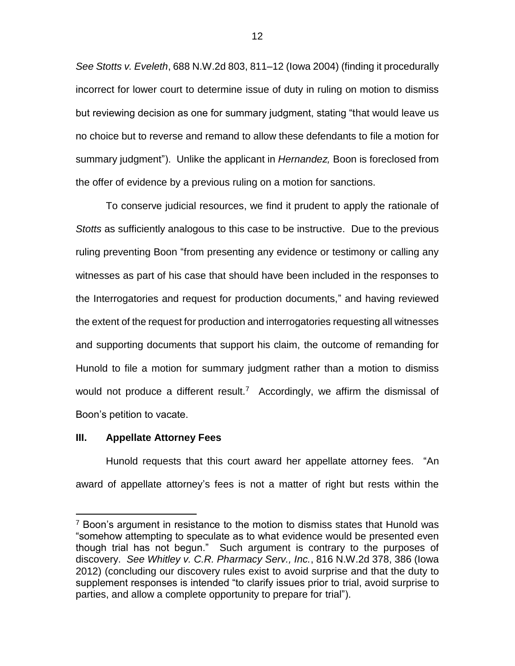*See Stotts v. Eveleth*, 688 N.W.2d 803, 811–12 (Iowa 2004) (finding it procedurally incorrect for lower court to determine issue of duty in ruling on motion to dismiss but reviewing decision as one for summary judgment, stating "that would leave us no choice but to reverse and remand to allow these defendants to file a motion for summary judgment"). Unlike the applicant in *Hernandez,* Boon is foreclosed from the offer of evidence by a previous ruling on a motion for sanctions.

To conserve judicial resources, we find it prudent to apply the rationale of *Stotts* as sufficiently analogous to this case to be instructive. Due to the previous ruling preventing Boon "from presenting any evidence or testimony or calling any witnesses as part of his case that should have been included in the responses to the Interrogatories and request for production documents," and having reviewed the extent of the request for production and interrogatories requesting all witnesses and supporting documents that support his claim, the outcome of remanding for Hunold to file a motion for summary judgment rather than a motion to dismiss would not produce a different result.<sup>7</sup> Accordingly, we affirm the dismissal of Boon's petition to vacate.

#### **III. Appellate Attorney Fees**

 $\overline{a}$ 

Hunold requests that this court award her appellate attorney fees. "An award of appellate attorney's fees is not a matter of right but rests within the

 $7$  Boon's argument in resistance to the motion to dismiss states that Hunold was "somehow attempting to speculate as to what evidence would be presented even though trial has not begun." Such argument is contrary to the purposes of discovery. *See Whitley v. C.R. Pharmacy Serv., Inc.*, 816 N.W.2d 378, 386 (Iowa 2012) (concluding our discovery rules exist to avoid surprise and that the duty to supplement responses is intended "to clarify issues prior to trial, avoid surprise to parties, and allow a complete opportunity to prepare for trial").